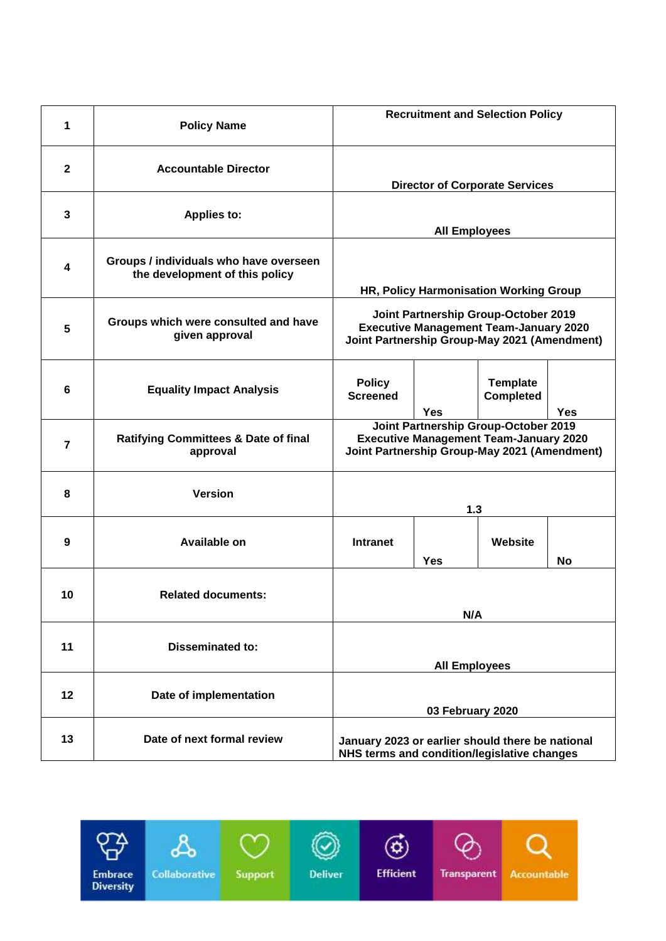| 1              | <b>Policy Name</b>                                                       | <b>Recruitment and Selection Policy</b>                                                                                                      |            |                                     |            |
|----------------|--------------------------------------------------------------------------|----------------------------------------------------------------------------------------------------------------------------------------------|------------|-------------------------------------|------------|
| $\mathbf{2}$   | <b>Accountable Director</b>                                              | <b>Director of Corporate Services</b>                                                                                                        |            |                                     |            |
| 3              | <b>Applies to:</b>                                                       | <b>All Employees</b>                                                                                                                         |            |                                     |            |
| 4              | Groups / individuals who have overseen<br>the development of this policy | HR, Policy Harmonisation Working Group                                                                                                       |            |                                     |            |
| 5              | Groups which were consulted and have<br>given approval                   | Joint Partnership Group-October 2019<br><b>Executive Management Team-January 2020</b><br>Joint Partnership Group-May 2021 (Amendment)        |            |                                     |            |
| 6              | <b>Equality Impact Analysis</b>                                          | <b>Policy</b><br><b>Screened</b>                                                                                                             | <b>Yes</b> | <b>Template</b><br><b>Completed</b> | <b>Yes</b> |
| $\overline{7}$ | <b>Ratifying Committees &amp; Date of final</b><br>approval              | <b>Joint Partnership Group-October 2019</b><br><b>Executive Management Team-January 2020</b><br>Joint Partnership Group-May 2021 (Amendment) |            |                                     |            |
| 8              | <b>Version</b>                                                           | 1.3                                                                                                                                          |            |                                     |            |
| 9              | Available on                                                             | <b>Intranet</b>                                                                                                                              | <b>Yes</b> | Website                             | No         |
| 10             | <b>Related documents:</b>                                                |                                                                                                                                              | N/A        |                                     |            |
| 11             | <b>Disseminated to:</b>                                                  | <b>All Employees</b>                                                                                                                         |            |                                     |            |
| 12             | Date of implementation                                                   | 03 February 2020                                                                                                                             |            |                                     |            |
| 13             | Date of next formal review                                               | January 2023 or earlier should there be national<br>NHS terms and condition/legislative changes                                              |            |                                     |            |

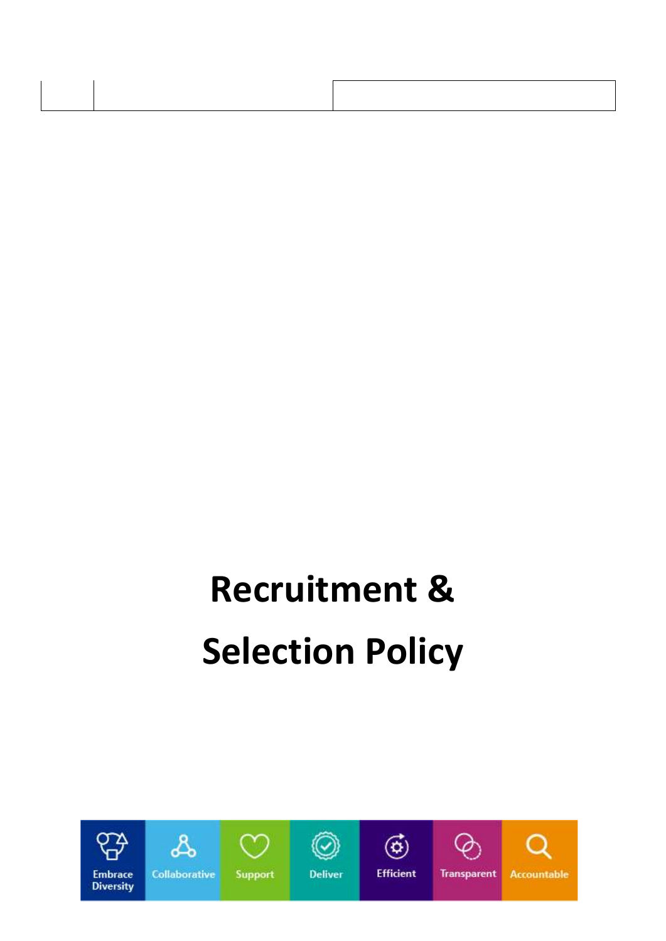# **Recruitment & Selection Policy**

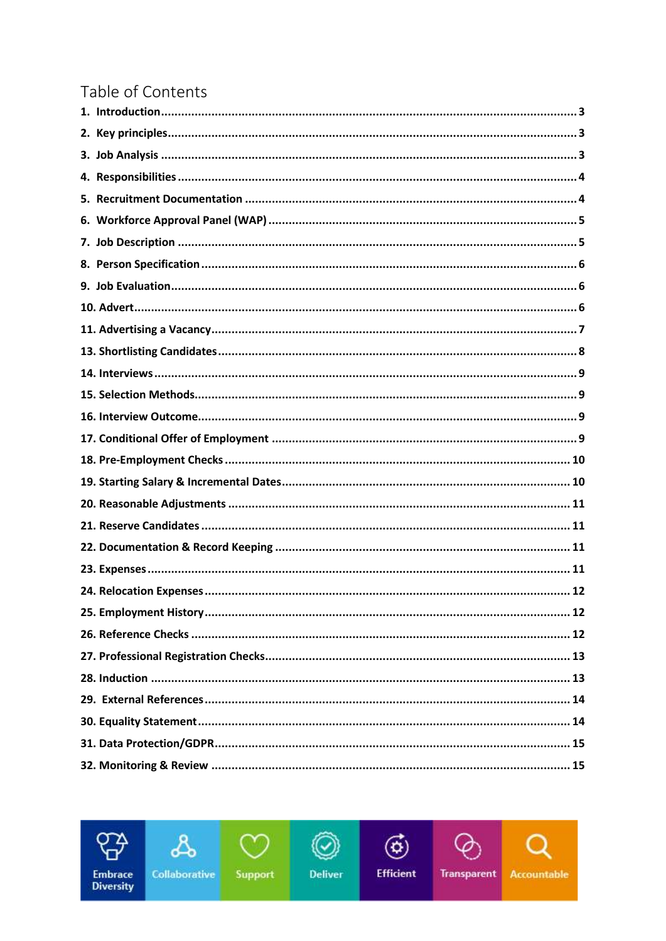# Table of Contents

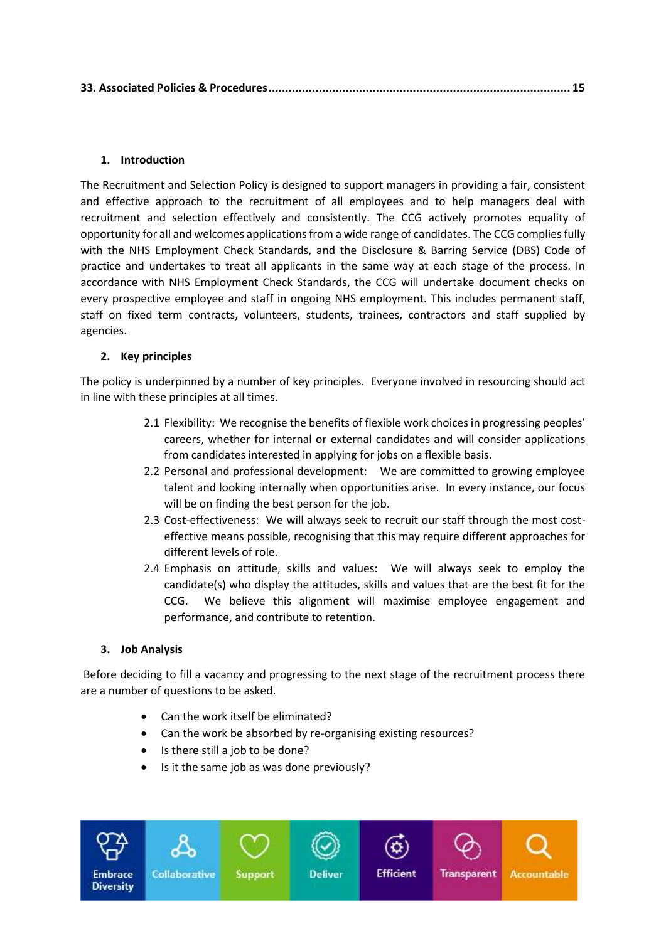|--|--|--|

# <span id="page-3-0"></span>**1. Introduction**

The Recruitment and Selection Policy is designed to support managers in providing a fair, consistent and effective approach to the recruitment of all employees and to help managers deal with recruitment and selection effectively and consistently. The CCG actively promotes equality of opportunity for all and welcomes applications from a wide range of candidates. The CCG complies fully with the NHS Employment Check Standards, and the Disclosure & Barring Service (DBS) Code of practice and undertakes to treat all applicants in the same way at each stage of the process. In accordance with NHS Employment Check Standards, the CCG will undertake document checks on every prospective employee and staff in ongoing NHS employment. This includes permanent staff, staff on fixed term contracts, volunteers, students, trainees, contractors and staff supplied by agencies.

# <span id="page-3-1"></span>**2. Key principles**

The policy is underpinned by a number of key principles. Everyone involved in resourcing should act in line with these principles at all times.

- 2.1 Flexibility: We recognise the benefits of flexible work choices in progressing peoples' careers, whether for internal or external candidates and will consider applications from candidates interested in applying for jobs on a flexible basis.
- 2.2 Personal and professional development: We are committed to growing employee talent and looking internally when opportunities arise. In every instance, our focus will be on finding the best person for the job.
- 2.3 Cost-effectiveness: We will always seek to recruit our staff through the most costeffective means possible, recognising that this may require different approaches for different levels of role.
- 2.4 Emphasis on attitude, skills and values: We will always seek to employ the candidate(s) who display the attitudes, skills and values that are the best fit for the CCG. We believe this alignment will maximise employee engagement and performance, and contribute to retention.

#### <span id="page-3-2"></span>**3. Job Analysis**

Before deciding to fill a vacancy and progressing to the next stage of the recruitment process there are a number of questions to be asked.

- Can the work itself be eliminated?
- Can the work be absorbed by re-organising existing resources?
- Is there still a job to be done?
- Is it the same job as was done previously?

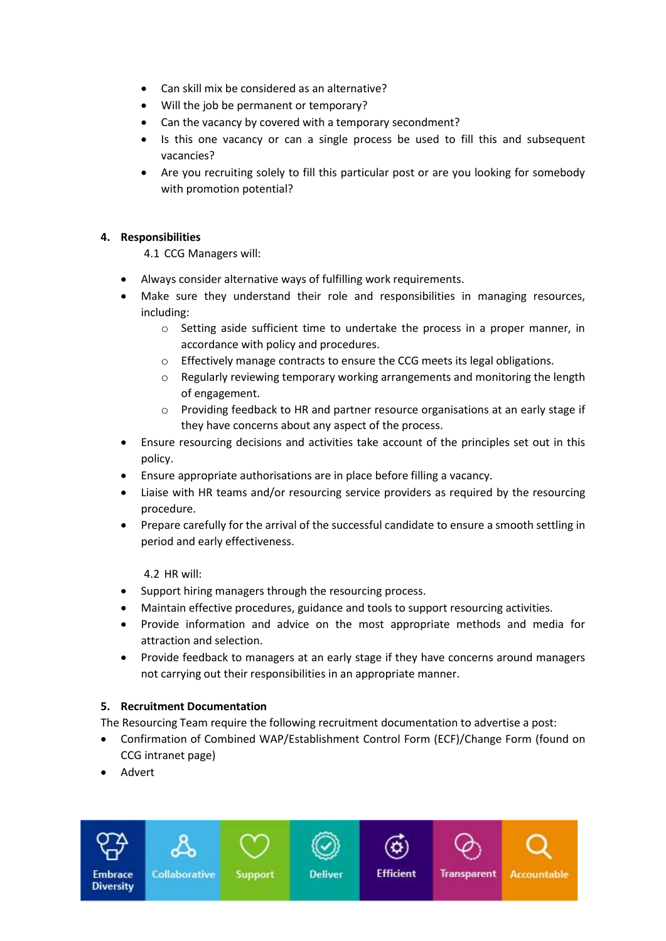- Can skill mix be considered as an alternative?
- Will the job be permanent or temporary?
- Can the vacancy by covered with a temporary secondment?
- Is this one vacancy or can a single process be used to fill this and subsequent vacancies?
- Are you recruiting solely to fill this particular post or are you looking for somebody with promotion potential?

# <span id="page-4-0"></span>**4. Responsibilities**

4.1 CCG Managers will:

- Always consider alternative ways of fulfilling work requirements.
- Make sure they understand their role and responsibilities in managing resources, including:
	- $\circ$  Setting aside sufficient time to undertake the process in a proper manner, in accordance with policy and procedures.
	- o Effectively manage contracts to ensure the CCG meets its legal obligations.
	- o Regularly reviewing temporary working arrangements and monitoring the length of engagement.
	- $\circ$  Providing feedback to HR and partner resource organisations at an early stage if they have concerns about any aspect of the process.
- Ensure resourcing decisions and activities take account of the principles set out in this policy.
- Ensure appropriate authorisations are in place before filling a vacancy.
- Liaise with HR teams and/or resourcing service providers as required by the resourcing procedure.
- Prepare carefully for the arrival of the successful candidate to ensure a smooth settling in period and early effectiveness.

4.2 HR will:

- Support hiring managers through the resourcing process.
- Maintain effective procedures, guidance and tools to support resourcing activities.
- Provide information and advice on the most appropriate methods and media for attraction and selection.
- Provide feedback to managers at an early stage if they have concerns around managers not carrying out their responsibilities in an appropriate manner.

# <span id="page-4-1"></span>**5. Recruitment Documentation**

The Resourcing Team require the following recruitment documentation to advertise a post:

- Confirmation of Combined WAP/Establishment Control Form (ECF)/Change Form (found on CCG intranet page)
- Advert

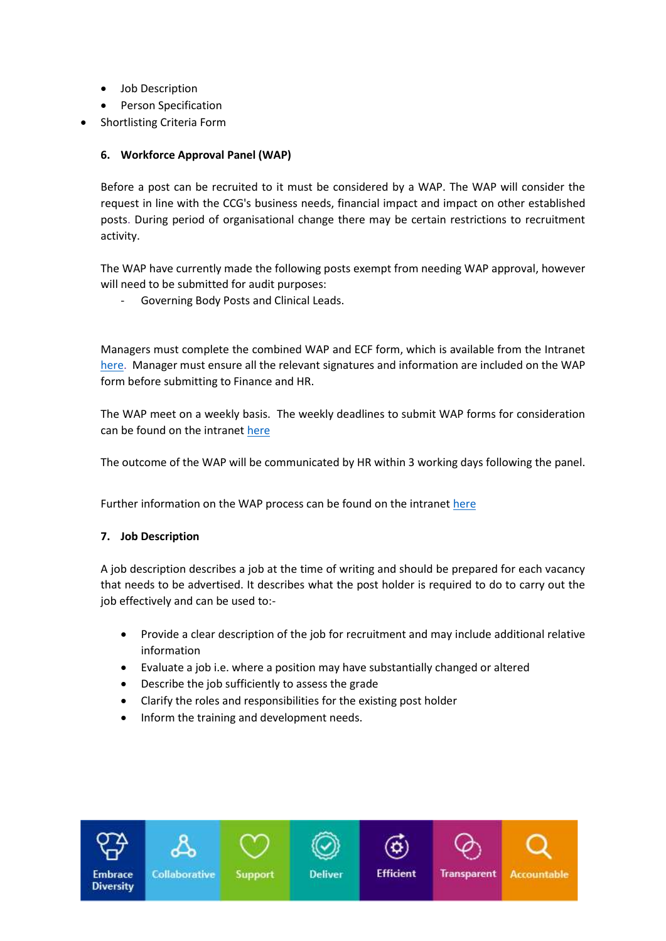- Job Description
- Person Specification
- Shortlisting Criteria Form

# <span id="page-5-0"></span>**6. Workforce Approval Panel (WAP)**

Before a post can be recruited to it must be considered by a WAP. The WAP will consider the request in line with the CCG's business needs, financial impact and impact on other established posts. During period of organisational change there may be certain restrictions to recruitment activity.

The WAP have currently made the following posts exempt from needing WAP approval, however will need to be submitted for audit purposes:

Governing Body Posts and Clinical Leads.

Managers must complete the combined WAP and ECF form, which is available from the Intranet [here.](http://iccg-root.nhs.sitekit.net/NCLINTRANET/downloads/NEW%20WAP%20ECF%20Change%20form%20-%20September%202020%20-%20Corrected%20v4.docx) Manager must ensure all the relevant signatures and information are included on the WAP form before submitting to Finance and HR.

The WAP meet on a weekly basis. The weekly deadlines to submit WAP forms for consideration can be found on the intranet [here](https://intranet.northcentrallondonccg.nhs.uk/downloads/WAP%20Information/WAP%20Deadlines%202021.pdf)

The outcome of the WAP will be communicated by HR within 3 working days following the panel.

Further information on the WAP process can be found on the intranet [here](https://intranet.northcentrallondonccg.nhs.uk/training/wap-information.htm)

# <span id="page-5-1"></span>**7. Job Description**

A job description describes a job at the time of writing and should be prepared for each vacancy that needs to be advertised. It describes what the post holder is required to do to carry out the job effectively and can be used to:-

- Provide a clear description of the job for recruitment and may include additional relative information
- Evaluate a job i.e. where a position may have substantially changed or altered
- Describe the job sufficiently to assess the grade
- Clarify the roles and responsibilities for the existing post holder
- Inform the training and development needs.

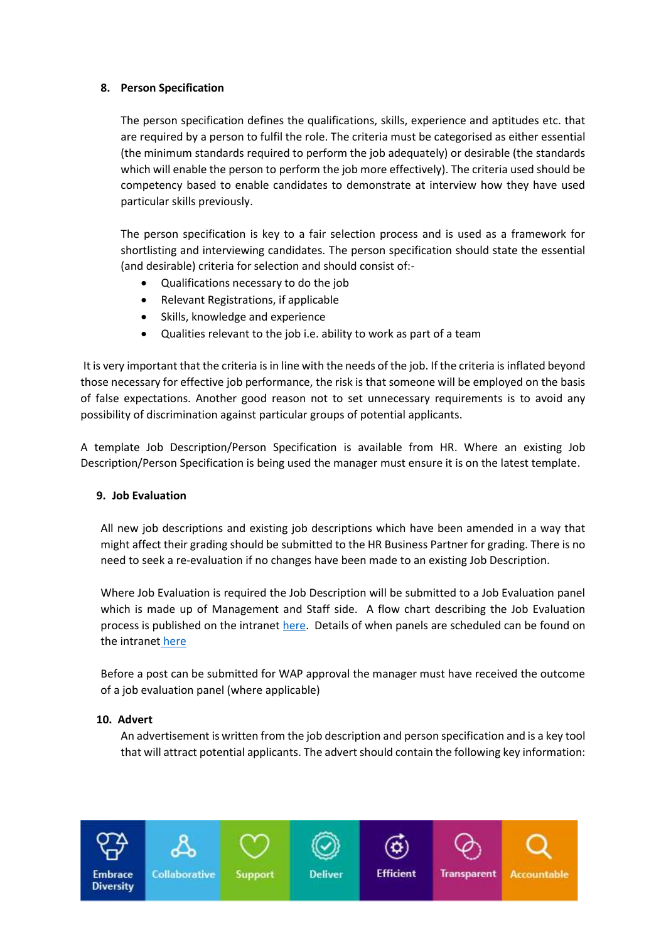# <span id="page-6-0"></span>**8. Person Specification**

The person specification defines the qualifications, skills, experience and aptitudes etc. that are required by a person to fulfil the role. The criteria must be categorised as either essential (the minimum standards required to perform the job adequately) or desirable (the standards which will enable the person to perform the job more effectively). The criteria used should be competency based to enable candidates to demonstrate at interview how they have used particular skills previously.

The person specification is key to a fair selection process and is used as a framework for shortlisting and interviewing candidates. The person specification should state the essential (and desirable) criteria for selection and should consist of:-

- Qualifications necessary to do the job
- Relevant Registrations, if applicable
- Skills, knowledge and experience
- Qualities relevant to the job i.e. ability to work as part of a team

It is very important that the criteria is in line with the needs of the job. If the criteria is inflated beyond those necessary for effective job performance, the risk is that someone will be employed on the basis of false expectations. Another good reason not to set unnecessary requirements is to avoid any possibility of discrimination against particular groups of potential applicants.

A template Job Description/Person Specification is available from HR. Where an existing Job Description/Person Specification is being used the manager must ensure it is on the latest template.

#### <span id="page-6-1"></span>**9. Job Evaluation**

All new job descriptions and existing job descriptions which have been amended in a way that might affect their grading should be submitted to the HR Business Partner for grading. There is no need to seek a re-evaluation if no changes have been made to an existing Job Description.

Where Job Evaluation is required the Job Description will be submitted to a Job Evaluation panel which is made up of Management and Staff side. A flow chart describing the Job Evaluation process is published on the intrane[t here.](https://intranet.northcentrallondonccg.nhs.uk/downloads/Job%20Evaluation%20Flow%20Chart.pdf) Details of when panels are scheduled can be found on the intranet [here](https://intranet.northcentrallondonccg.nhs.uk/downloads/Job%20Evaluation%20Rota%20July%20to%20September.pdf)

Before a post can be submitted for WAP approval the manager must have received the outcome of a job evaluation panel (where applicable)

#### <span id="page-6-2"></span>**10. Advert**

An advertisement is written from the job description and person specification and is a key tool that will attract potential applicants. The advert should contain the following key information:

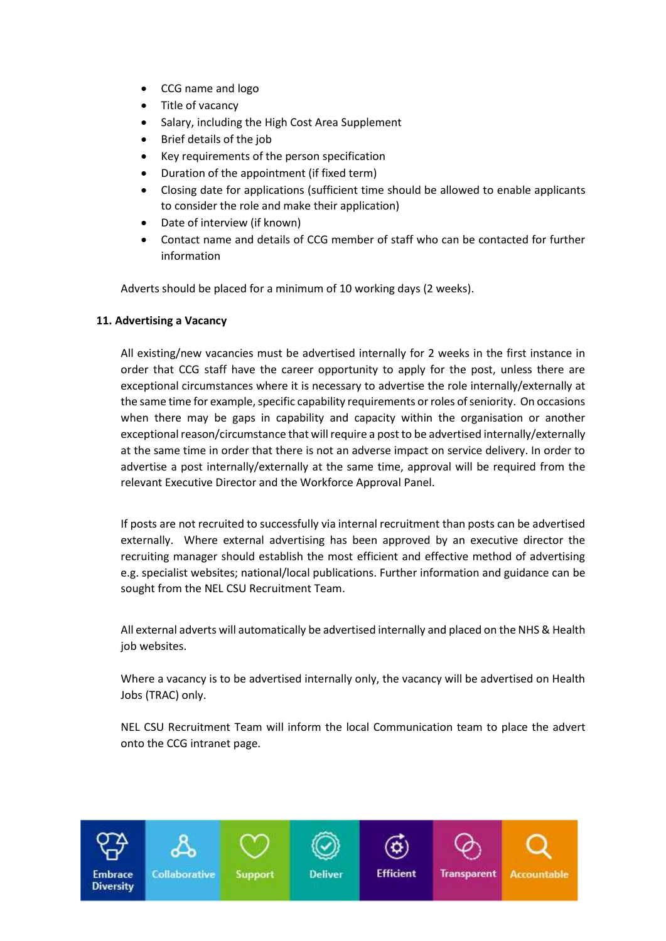- CCG name and logo
- Title of vacancy
- Salary, including the High Cost Area Supplement
- Brief details of the job
- Key requirements of the person specification
- Duration of the appointment (if fixed term)
- Closing date for applications (sufficient time should be allowed to enable applicants to consider the role and make their application)
- Date of interview (if known)
- Contact name and details of CCG member of staff who can be contacted for further information

Adverts should be placed for a minimum of 10 working days (2 weeks).

#### <span id="page-7-0"></span>**11. Advertising a Vacancy**

All existing/new vacancies must be advertised internally for 2 weeks in the first instance in order that CCG staff have the career opportunity to apply for the post, unless there are exceptional circumstances where it is necessary to advertise the role internally/externally at the same time for example, specific capability requirements or roles of seniority. On occasions when there may be gaps in capability and capacity within the organisation or another exceptional reason/circumstance that will require a post to be advertised internally/externally at the same time in order that there is not an adverse impact on service delivery. In order to advertise a post internally/externally at the same time, approval will be required from the relevant Executive Director and the Workforce Approval Panel.

If posts are not recruited to successfully via internal recruitment than posts can be advertised externally. Where external advertising has been approved by an executive director the recruiting manager should establish the most efficient and effective method of advertising e.g. specialist websites; national/local publications. Further information and guidance can be sought from the NEL CSU Recruitment Team.

All external adverts will automatically be advertised internally and placed on the NHS & Health job websites.

Where a vacancy is to be advertised internally only, the vacancy will be advertised on Health Jobs (TRAC) only.

NEL CSU Recruitment Team will inform the local Communication team to place the advert onto the CCG intranet page.

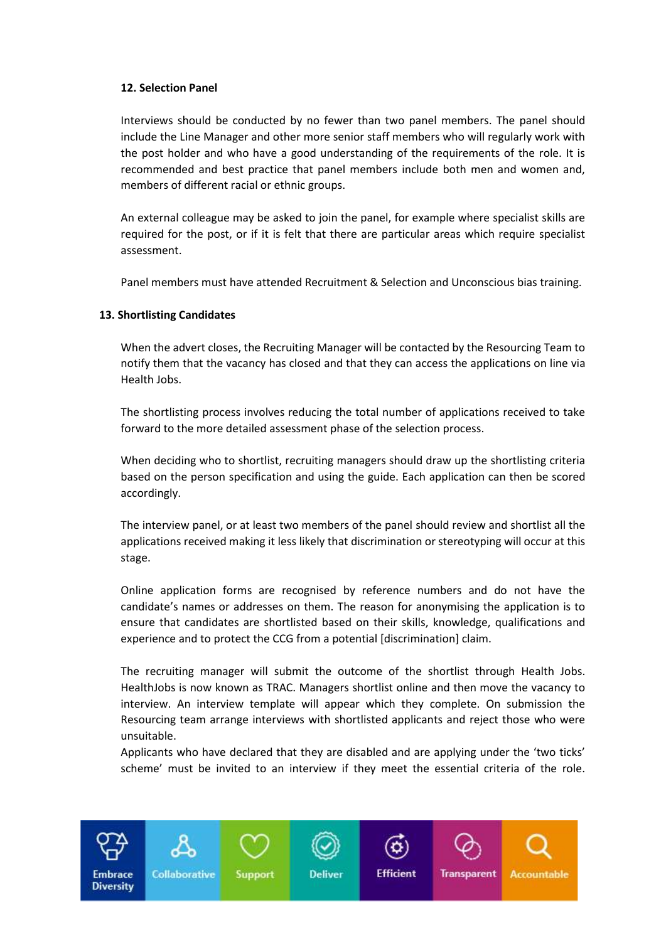#### **12. Selection Panel**

Interviews should be conducted by no fewer than two panel members. The panel should include the Line Manager and other more senior staff members who will regularly work with the post holder and who have a good understanding of the requirements of the role. It is recommended and best practice that panel members include both men and women and, members of different racial or ethnic groups.

An external colleague may be asked to join the panel, for example where specialist skills are required for the post, or if it is felt that there are particular areas which require specialist assessment.

Panel members must have attended Recruitment & Selection and Unconscious bias training.

#### <span id="page-8-0"></span>**13. Shortlisting Candidates**

When the advert closes, the Recruiting Manager will be contacted by the Resourcing Team to notify them that the vacancy has closed and that they can access the applications on line via Health Jobs.

The shortlisting process involves reducing the total number of applications received to take forward to the more detailed assessment phase of the selection process.

When deciding who to shortlist, recruiting managers should draw up the shortlisting criteria based on the person specification and using the guide. Each application can then be scored accordingly.

The interview panel, or at least two members of the panel should review and shortlist all the applications received making it less likely that discrimination or stereotyping will occur at this stage.

Online application forms are recognised by reference numbers and do not have the candidate's names or addresses on them. The reason for anonymising the application is to ensure that candidates are shortlisted based on their skills, knowledge, qualifications and experience and to protect the CCG from a potential [discrimination] claim.

The recruiting manager will submit the outcome of the shortlist through Health Jobs. HealthJobs is now known as TRAC. Managers shortlist online and then move the vacancy to interview. An interview template will appear which they complete. On submission the Resourcing team arrange interviews with shortlisted applicants and reject those who were unsuitable.

Applicants who have declared that they are disabled and are applying under the 'two ticks' scheme' must be invited to an interview if they meet the essential criteria of the role.

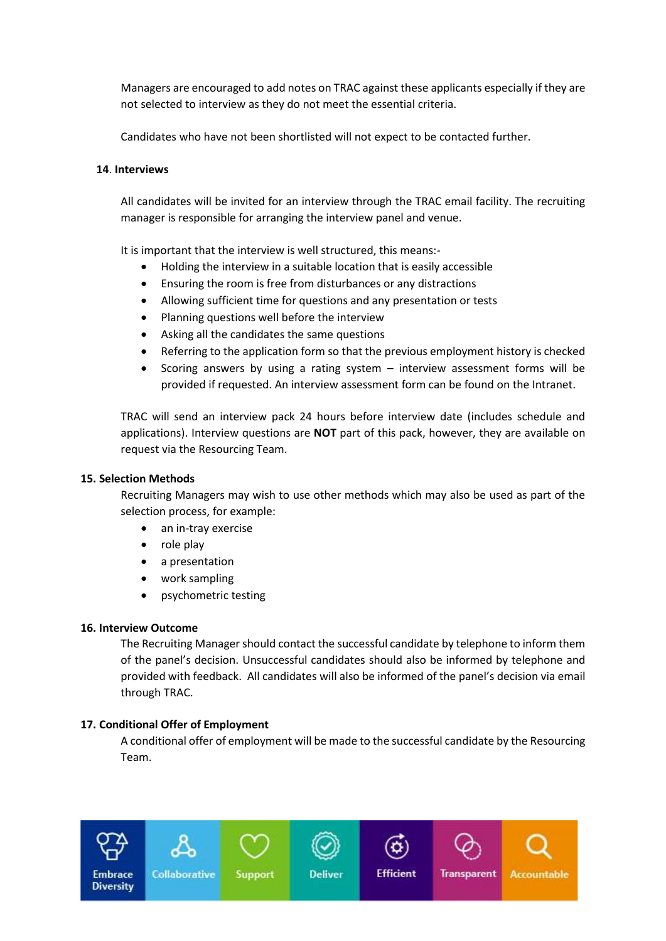Managers are encouraged to add notes on TRAC against these applicants especially if they are not selected to interview as they do not meet the essential criteria.

Candidates who have not been shortlisted will not expect to be contacted further.

## <span id="page-9-0"></span>**14**. **Interviews**

All candidates will be invited for an interview through the TRAC email facility. The recruiting manager is responsible for arranging the interview panel and venue.

It is important that the interview is well structured, this means:-

- Holding the interview in a suitable location that is easily accessible
- Ensuring the room is free from disturbances or any distractions
- Allowing sufficient time for questions and any presentation or tests
- Planning questions well before the interview
- Asking all the candidates the same questions
- Referring to the application form so that the previous employment history is checked
- Scoring answers by using a rating system interview assessment forms will be provided if requested. An interview assessment form can be found on the Intranet.

TRAC will send an interview pack 24 hours before interview date (includes schedule and applications). Interview questions are **NOT** part of this pack, however, they are available on request via the Resourcing Team.

### <span id="page-9-1"></span>**15. Selection Methods**

Recruiting Managers may wish to use other methods which may also be used as part of the selection process, for example:

- an in-tray exercise
- role play
- a presentation
- work sampling
- psychometric testing

#### <span id="page-9-2"></span>**16. Interview Outcome**

The Recruiting Manager should contact the successful candidate by telephone to inform them of the panel's decision. Unsuccessful candidates should also be informed by telephone and provided with feedback. All candidates will also be informed of the panel's decision via email through TRAC.

#### <span id="page-9-3"></span>**17. Conditional Offer of Employment**

A conditional offer of employment will be made to the successful candidate by the Resourcing Team.

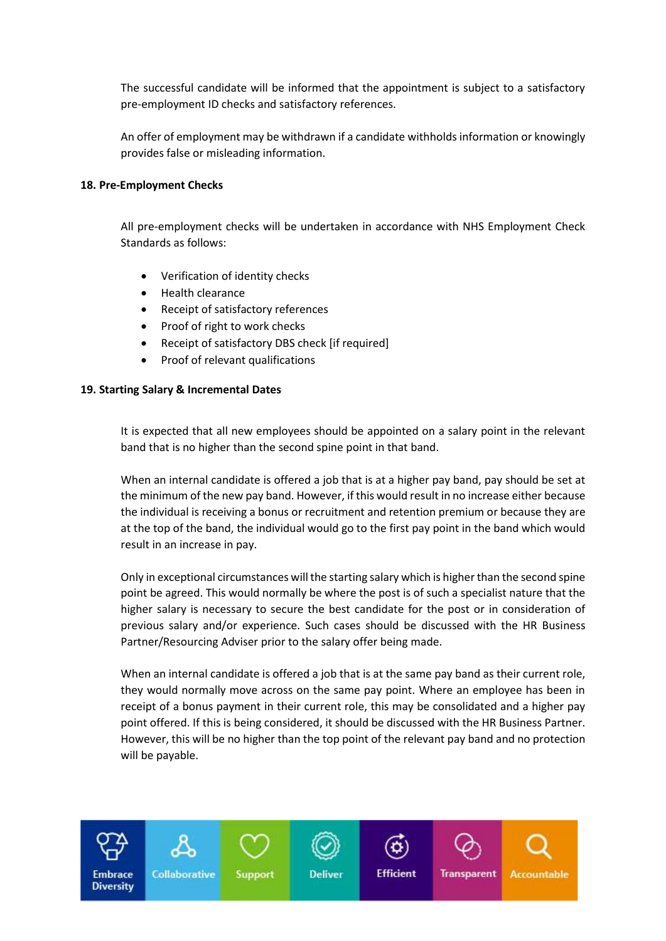The successful candidate will be informed that the appointment is subject to a satisfactory pre-employment ID checks and satisfactory references.

An offer of employment may be withdrawn if a candidate withholds information or knowingly provides false or misleading information.

## <span id="page-10-0"></span>**18. Pre-Employment Checks**

All pre-employment checks will be undertaken in accordance with NHS Employment Check Standards as follows:

- Verification of identity checks
- Health clearance
- Receipt of satisfactory references
- Proof of right to work checks
- Receipt of satisfactory DBS check [if required]
- Proof of relevant qualifications

#### <span id="page-10-1"></span>**19. Starting Salary & Incremental Dates**

It is expected that all new employees should be appointed on a salary point in the relevant band that is no higher than the second spine point in that band.

When an internal candidate is offered a job that is at a higher pay band, pay should be set at the minimum of the new pay band. However, if this would result in no increase either because the individual is receiving a bonus or recruitment and retention premium or because they are at the top of the band, the individual would go to the first pay point in the band which would result in an increase in pay.

Only in exceptional circumstances will the starting salary which is higher than the second spine point be agreed. This would normally be where the post is of such a specialist nature that the higher salary is necessary to secure the best candidate for the post or in consideration of previous salary and/or experience. Such cases should be discussed with the HR Business Partner/Resourcing Adviser prior to the salary offer being made.

When an internal candidate is offered a job that is at the same pay band as their current role, they would normally move across on the same pay point. Where an employee has been in receipt of a bonus payment in their current role, this may be consolidated and a higher pay point offered. If this is being considered, it should be discussed with the HR Business Partner. However, this will be no higher than the top point of the relevant pay band and no protection will be payable.

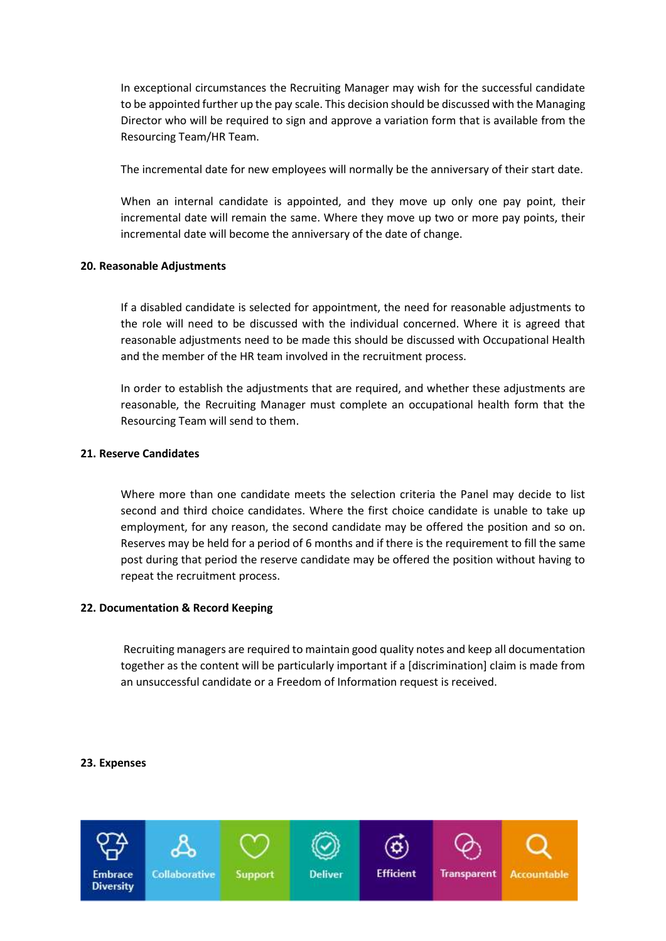In exceptional circumstances the Recruiting Manager may wish for the successful candidate to be appointed further up the pay scale. This decision should be discussed with the Managing Director who will be required to sign and approve a variation form that is available from the Resourcing Team/HR Team.

The incremental date for new employees will normally be the anniversary of their start date.

When an internal candidate is appointed, and they move up only one pay point, their incremental date will remain the same. Where they move up two or more pay points, their incremental date will become the anniversary of the date of change.

#### <span id="page-11-0"></span>**20. Reasonable Adjustments**

If a disabled candidate is selected for appointment, the need for reasonable adjustments to the role will need to be discussed with the individual concerned. Where it is agreed that reasonable adjustments need to be made this should be discussed with Occupational Health and the member of the HR team involved in the recruitment process.

In order to establish the adjustments that are required, and whether these adjustments are reasonable, the Recruiting Manager must complete an occupational health form that the Resourcing Team will send to them.

#### <span id="page-11-1"></span>**21. Reserve Candidates**

Where more than one candidate meets the selection criteria the Panel may decide to list second and third choice candidates. Where the first choice candidate is unable to take up employment, for any reason, the second candidate may be offered the position and so on. Reserves may be held for a period of 6 months and if there is the requirement to fill the same post during that period the reserve candidate may be offered the position without having to repeat the recruitment process.

#### <span id="page-11-2"></span>**22. Documentation & Record Keeping**

Recruiting managers are required to maintain good quality notes and keep all documentation together as the content will be particularly important if a [discrimination] claim is made from an unsuccessful candidate or a Freedom of Information request is received.

#### <span id="page-11-3"></span>**23. Expenses**

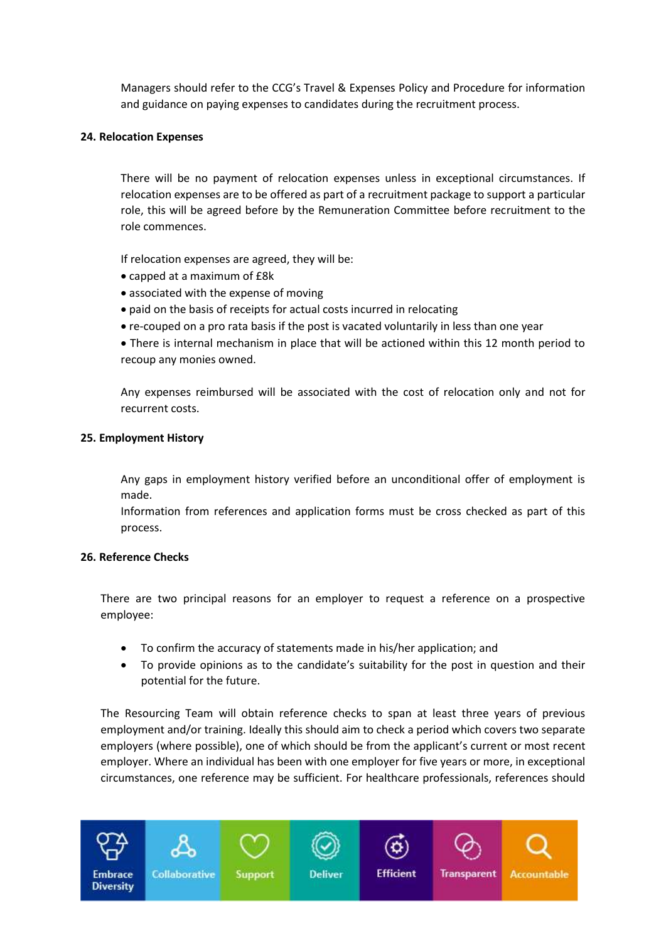Managers should refer to the CCG's Travel & Expenses Policy and Procedure for information and guidance on paying expenses to candidates during the recruitment process.

#### <span id="page-12-0"></span>**24. Relocation Expenses**

There will be no payment of relocation expenses unless in exceptional circumstances. If relocation expenses are to be offered as part of a recruitment package to support a particular role, this will be agreed before by the Remuneration Committee before recruitment to the role commences.

If relocation expenses are agreed, they will be:

- capped at a maximum of £8k
- associated with the expense of moving
- paid on the basis of receipts for actual costs incurred in relocating
- re-couped on a pro rata basis if the post is vacated voluntarily in less than one year

 There is internal mechanism in place that will be actioned within this 12 month period to recoup any monies owned.

Any expenses reimbursed will be associated with the cost of relocation only and not for recurrent costs.

#### <span id="page-12-1"></span>**25. Employment History**

Any gaps in employment history verified before an unconditional offer of employment is made.

Information from references and application forms must be cross checked as part of this process.

# <span id="page-12-2"></span>**26. Reference Checks**

There are two principal reasons for an employer to request a reference on a prospective employee:

- To confirm the accuracy of statements made in his/her application; and
- To provide opinions as to the candidate's suitability for the post in question and their potential for the future.

The Resourcing Team will obtain reference checks to span at least three years of previous employment and/or training. Ideally this should aim to check a period which covers two separate employers (where possible), one of which should be from the applicant's current or most recent employer. Where an individual has been with one employer for five years or more, in exceptional circumstances, one reference may be sufficient. For healthcare professionals, references should

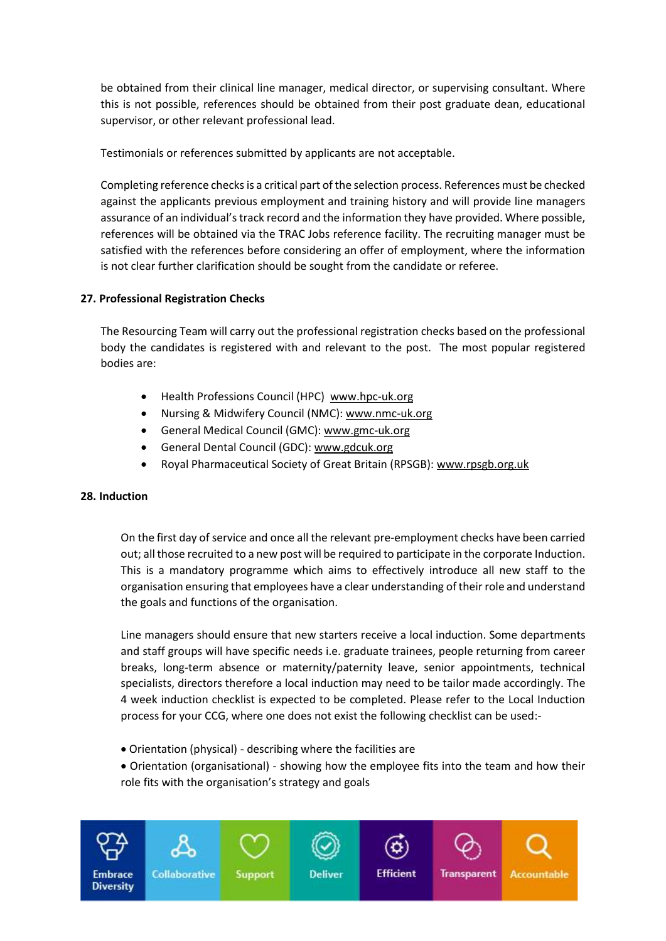be obtained from their clinical line manager, medical director, or supervising consultant. Where this is not possible, references should be obtained from their post graduate dean, educational supervisor, or other relevant professional lead.

Testimonials or references submitted by applicants are not acceptable.

Completing reference checks is a critical part of the selection process. References must be checked against the applicants previous employment and training history and will provide line managers assurance of an individual's track record and the information they have provided. Where possible, references will be obtained via the TRAC Jobs reference facility. The recruiting manager must be satisfied with the references before considering an offer of employment, where the information is not clear further clarification should be sought from the candidate or referee.

# <span id="page-13-0"></span>**27. Professional Registration Checks**

The Resourcing Team will carry out the professional registration checks based on the professional body the candidates is registered with and relevant to the post. The most popular registered bodies are:

- Health Professions Council (HPC) [www.hpc-uk.org](http://www.hpc-uk.org/)
- Nursing & Midwifery Council (NMC): [www.nmc-uk.org](http://www.nmc-uk.org/)
- General Medical Council (GMC)[: www.gmc-uk.org](http://www.gmc-uk.org/)
- General Dental Council (GDC): [www.gdcuk.org](http://www.gdcuk.org/)
- Royal Pharmaceutical Society of Great Britain (RPSGB): [www.rpsgb.org.uk](http://www.rpsgb.org.uk/)

#### <span id="page-13-1"></span>**28. Induction**

On the first day of service and once all the relevant pre-employment checks have been carried out; all those recruited to a new post will be required to participate in the corporate Induction. This is a mandatory programme which aims to effectively introduce all new staff to the organisation ensuring that employees have a clear understanding of their role and understand the goals and functions of the organisation.

Line managers should ensure that new starters receive a local induction. Some departments and staff groups will have specific needs i.e. graduate trainees, people returning from career breaks, long-term absence or maternity/paternity leave, senior appointments, technical specialists, directors therefore a local induction may need to be tailor made accordingly. The 4 week induction checklist is expected to be completed. Please refer to the Local Induction process for your CCG, where one does not exist the following checklist can be used:-

Orientation (physical) - describing where the facilities are

 Orientation (organisational) - showing how the employee fits into the team and how their role fits with the organisation's strategy and goals

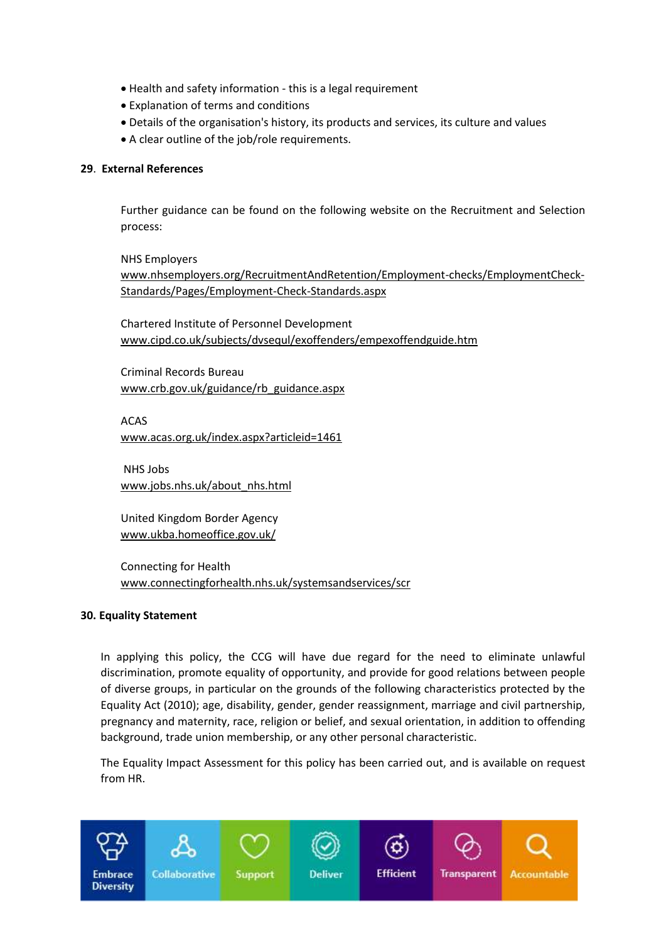- Health and safety information this is a legal requirement
- Explanation of terms and conditions
- Details of the organisation's history, its products and services, its culture and values
- A clear outline of the job/role requirements.

#### <span id="page-14-0"></span>**29**. **External References**

Further guidance can be found on the following website on the Recruitment and Selection process:

NHS Employers

[www.nhsemployers.org/RecruitmentAndRetention/Employment-checks/EmploymentCheck-](http://www.nhsemployers.org/RecruitmentAndRetention/Employment-checks/EmploymentCheck-Standards/Pages/Employment-Check-Standards.aspx)[Standards/Pages/Employment-Check-Standards.aspx](http://www.nhsemployers.org/RecruitmentAndRetention/Employment-checks/EmploymentCheck-Standards/Pages/Employment-Check-Standards.aspx)

Chartered Institute of Personnel Development [www.cipd.co.uk/subjects/dvsequl/exoffenders/empexoffendguide.htm](http://www.cipd.co.uk/subjects/dvsequl/exoffenders/empexoffendguide.htm)

Criminal Records Bureau [www.crb.gov.uk/guidance/rb\\_guidance.aspx](http://www.crb.gov.uk/guidance/rb_guidance.aspx)

ACAS

[www.acas.org.uk/index.aspx?articleid=1461](http://www.acas.org.uk/index.aspx?articleid=1461)

NHS Jobs [www.jobs.nhs.uk/about\\_nhs.html](http://www.jobs.nhs.uk/about_nhs.html)

United Kingdom Border Agency [www.ukba.homeoffice.gov.uk/](http://www.ukba.homeoffice.gov.uk/) 

Connecting for Health [www.connectingforhealth.nhs.uk/systemsandservices/scr](http://www.connectingforhealth.nhs.uk/systemsandservices/scr)

#### <span id="page-14-1"></span>**30. Equality Statement**

In applying this policy, the CCG will have due regard for the need to eliminate unlawful discrimination, promote equality of opportunity, and provide for good relations between people of diverse groups, in particular on the grounds of the following characteristics protected by the Equality Act (2010); age, disability, gender, gender reassignment, marriage and civil partnership, pregnancy and maternity, race, religion or belief, and sexual orientation, in addition to offending background, trade union membership, or any other personal characteristic.

The Equality Impact Assessment for this policy has been carried out, and is available on request from HR.